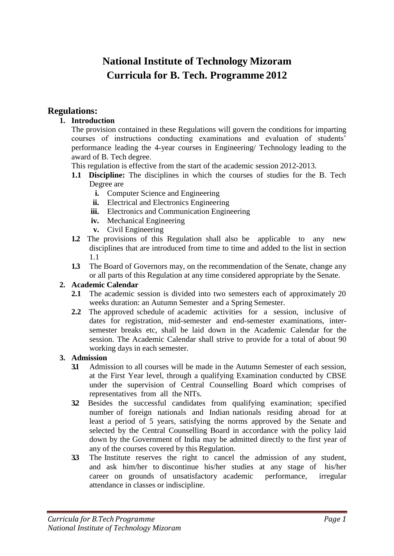# **National Institute of Technology Mizoram Curricula for B. Tech. Programme 2012**

#### **Regulations:**

#### **1. Introduction**

The provision contained in these Regulations will govern the conditions for imparting courses of instructions conducting examinations and evaluation of students' performance leading the 4-year courses in Engineering/ Technology leading to the award of B. Tech degree.

This regulation is effective from the start of the academic session 2012-2013.

- **1.1 Discipline:** The disciplines in which the courses of studies for the B. Tech Degree are
	- **i.** Computer Science and Engineering
	- **ii.** Electrical and Electronics Engineering
	- **iii.** Electronics and Communication Engineering
	- **iv.** Mechanical Engineering
	- **v.** Civil Engineering
- **1.2** The provisions of this Regulation shall also be applicable to any new disciplines that are introduced from time to time and added to the list in section 1.1
- **1.3** The Board of Governors may, on the recommendation of the Senate, change any or all parts of this Regulation at any time considered appropriate by the Senate.

#### **2. Academic Calendar**

- **2.1** The academic session is divided into two semesters each of approximately 20 weeks duration: an Autumn Semester and a Spring Semester.
- **2.2** The approved schedule of academic activities for a session, inclusive of dates for registration, mid-semester and end-semester examinations, intersemester breaks etc, shall be laid down in the Academic Calendar for the session. The Academic Calendar shall strive to provide for a total of about 90 working days in each semester.

#### **3. Admission**

- **3.1** Admission to all courses will be made in the Autumn Semester of each session, at the First Year level, through a qualifying Examination conducted by CBSE under the supervision of Central Counselling Board which comprises of representatives from all the NITs.
- **3.2** Besides the successful candidates from qualifying examination; specified number of foreign nationals and Indian nationals residing abroad for at least a period of 5 years, satisfying the norms approved by the Senate and selected by the Central Counselling Board in accordance with the policy laid down by the Government of India may be admitted directly to the first year of any of the courses covered by this Regulation.
- **3.3** The Institute reserves the right to cancel the admission of any student, and ask him/her to discontinue his/her studies at any stage of his/her career on grounds of unsatisfactory academic performance, irregular attendance in classes or indiscipline.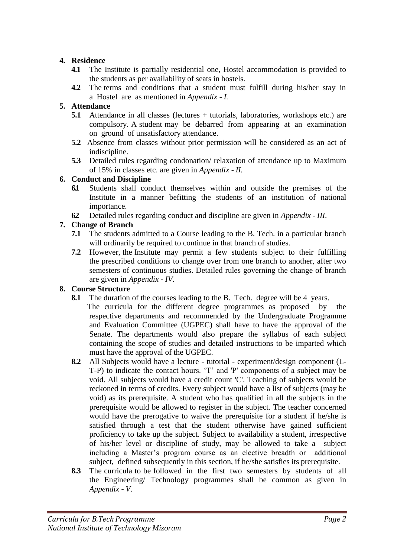#### **4. Residence**

- **4.1** The Institute is partially residential one, Hostel accommodation is provided to the students as per availability of seats in hostels.
- **4.2** The terms and conditions that a student must fulfill during his/her stay in a Hostel are as mentioned in *Appendix - I.*

### **5. Attendance**

- **5.1** Attendance in all classes (lectures + tutorials, laboratories, workshops etc.) are compulsory. A student may be debarred from appearing at an examination on ground of unsatisfactory attendance.
- **5.2** Absence from classes without prior permission will be considered as an act of indiscipline.
- **5.3** Detailed rules regarding condonation/ relaxation of attendance up to Maximum of 15% in classes etc. are given in *Appendix - II.*

#### **6. Conduct and Discipline**

- **6.1** Students shall conduct themselves within and outside the premises of the Institute in a manner befitting the students of an institution of national importance.
- **6.2** Detailed rules regarding conduct and discipline are given in *Appendix - III*.

### **7. Change of Branch**

- **7.1** The students admitted to a Course leading to the B. Tech. in a particular branch will ordinarily be required to continue in that branch of studies.
- **7.2** However, the Institute may permit a few students subject to their fulfilling the prescribed conditions to change over from one branch to another, after two semesters of continuous studies. Detailed rules governing the change of branch are given in *Appendix - IV.*

### **8. Course Structure**

- **8.1** The duration of the courses leading to the B. Tech. degree will be 4 years.
	- The curricula for the different degree programmes as proposed by the respective departments and recommended by the Undergraduate Programme and Evaluation Committee (UGPEC) shall have to have the approval of the Senate. The departments would also prepare the syllabus of each subject containing the scope of studies and detailed instructions to be imparted which must have the approval of the UGPEC.
- **8.2** All Subjects would have a lecture tutorial experiment/design component (L-T-P) to indicate the contact hours. 'T' and 'P' components of a subject may be void. All subjects would have a credit count 'C'. Teaching of subjects would be reckoned in terms of credits. Every subject would have a list of subjects (may be void) as its prerequisite. A student who has qualified in all the subjects in the prerequisite would be allowed to register in the subject. The teacher concerned would have the prerogative to waive the prerequisite for a student if he/she is satisfied through a test that the student otherwise have gained sufficient proficiency to take up the subject. Subject to availability a student, irrespective of his/her level or discipline of study, may be allowed to take a subject including a Master's program course as an elective breadth or additional subject, defined subsequently in this section, if he/she satisfies its prerequisite.
- **8.3** The curricula to be followed in the first two semesters by students of all the Engineering/ Technology programmes shall be common as given in *Appendix - V*.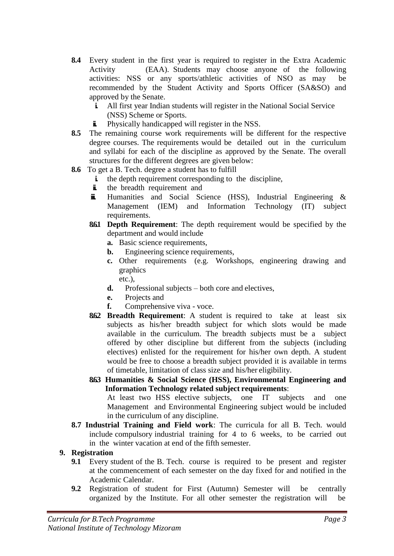- **8.4** Every student in the first year is required to register in the Extra Academic Activity (EAA). Students may choose anyone of the following activities: NSS or any sports/athletic activities of NSO as may be recommended by the Student Activity and Sports Officer (SA&SO) and approved by the Senate.
	- **i.** All first year Indian students will register in the National Social Service (NSS) Scheme or Sports.
	- **ii.** Physically handicapped will register in the NSS.
- **8.5** The remaining course work requirements will be different for the respective degree courses. The requirements would be detailed out in the curriculum and syllabi for each of the discipline as approved by the Senate. The overall structures for the different degrees are given below:
- **8.6** To get a B. Tech. degree a student has to fulfill
	- **i.** the depth requirement corresponding to the discipline,
	- **ii.** the breadth requirement and
	- **iii.** Humanities and Social Science (HSS), Industrial Engineering & Management (IEM) and Information Technology (IT) subject requirements.
	- **8.6.1 Depth Requirement**: The depth requirement would be specified by the department and would include
		- **a.** Basic science requirements,
		- **b.** Engineering science requirements,
		- **c.** Other requirements (e.g. Workshops, engineering drawing and graphics
		- etc.), **d.** Professional subjects – both core and electives,
		- **e.** Projects and
		- **f.** Comprehensive viva voce.
	- **8.6.2 Breadth Requirement**: A student is required to take at least six subjects as his/her breadth subject for which slots would be made available in the curriculum. The breadth subjects must be a subject offered by other discipline but different from the subjects (including electives) enlisted for the requirement for his/her own depth. A student would be free to choose a breadth subject provided it is available in terms of timetable, limitation of class size and his/her eligibility.
	- **8.6.3 Humanities & Social Science (HSS), Environmental Engineering and Information Technology related subject requirements**: At least two HSS elective subjects, one IT subjects and one Management and Environmental Engineering subject would be included in the curriculum of any discipline.
- **8.7 Industrial Training and Field work**: The curricula for all B. Tech. would include compulsory industrial training for 4 to 6 weeks, to be carried out in the winter vacation at end of the fifth semester.

#### **9. Registration**

- **9.1** Every student of the B. Tech. course is required to be present and register at the commencement of each semester on the day fixed for and notified in the Academic Calendar.
- **9.2** Registration of student for First (Autumn) Semester will be centrally organized by the Institute. For all other semester the registration will be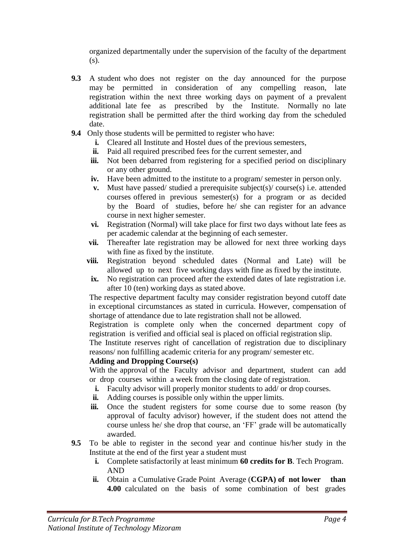organized departmentally under the supervision of the faculty of the department (s).

- **9.3** A student who does not register on the day announced for the purpose may be permitted in consideration of any compelling reason, late registration within the next three working days on payment of a prevalent additional late fee as prescribed by the Institute. Normally no late registration shall be permitted after the third working day from the scheduled date.
- **9.4** Only those students will be permitted to register who have:
	- **i.** Cleared all Institute and Hostel dues of the previous semesters,
	- **ii.** Paid all required prescribed fees for the current semester, and
	- **iii.** Not been debarred from registering for a specified period on disciplinary or any other ground.
	- **iv.** Have been admitted to the institute to a program/ semester in person only.
	- **v.** Must have passed/ studied a prerequisite subject(s)/ course(s) i.e. attended courses offered in previous semester(s) for a program or as decided by the Board of studies, before he/ she can register for an advance course in next higher semester.
	- **vi.** Registration (Normal) will take place for first two days without late fees as per academic calendar at the beginning of each semester.
	- **vii.** Thereafter late registration may be allowed for next three working days with fine as fixed by the institute.
	- **viii.** Registration beyond scheduled dates (Normal and Late) will be allowed up to next five working days with fine as fixed by the institute.
	- **ix.** No registration can proceed after the extended dates of late registration i.e. after 10 (ten) working days as stated above.

The respective department faculty may consider registration beyond cutoff date in exceptional circumstances as stated in curricula. However, compensation of shortage of attendance due to late registration shall not be allowed.

Registration is complete only when the concerned department copy of registration is verified and official seal is placed on official registration slip.

The Institute reserves right of cancellation of registration due to disciplinary reasons/ non fulfilling academic criteria for any program/ semester etc.

#### **Adding and Dropping Course(s)**

With the approval of the Faculty advisor and department, student can add or drop courses within a week from the closing date of registration.

- **i.** Faculty advisor will properly monitor students to add/ or drop courses.
- **ii.** Adding courses is possible only within the upper limits.
- iii. Once the student registers for some course due to some reason (by approval of faculty advisor) however, if the student does not attend the course unless he/ she drop that course, an 'FF' grade will be automatically awarded.
- **9.5** To be able to register in the second year and continue his/her study in the Institute at the end of the first year a student must
	- **i.** Complete satisfactorily at least minimum **60 credits for B**. Tech Program. AND
	- **ii.** Obtain a Cumulative Grade Point Average (**CGPA) of not lower than 4.00** calculated on the basis of some combination of best grades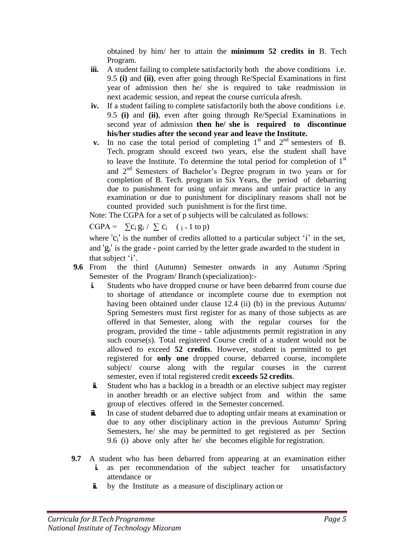obtained by him/ her to attain the **minimum 52 credits in** B. Tech Program.

- **iii.** A student failing to complete satisfactorily both the above conditions i.e. 9.5 **(i)** and **(ii)**, even after going through Re/Special Examinations in first year of admission then he/ she is required to take readmission in next academic session, and repeat the course curricula afresh.
- **iv.** If a student failing to complete satisfactorily both the above conditions i.e. 9.5 **(i)** and **(ii)**, even after going through Re/Special Examinations in second year of admission **then he/ she is required to discontinue his/her studies after the second year and leave the Institute.**
- **v.** In no case the total period of completing  $1<sup>st</sup>$  and  $2<sup>nd</sup>$  semesters of B. Tech. program should exceed two years, else the student shall have to leave the Institute. To determine the total period for completion of  $1<sup>st</sup>$ and 2nd Semesters of Bachelor's Degree program in two years or for completion of B. Tech. program in Six Years, the period of debarring due to punishment for using unfair means and unfair practice in any examination or due to punishment for disciplinary reasons shall not be counted provided such punishment is for the first time.

Note: The CGPA for a set of p subjects will be calculated as follows:

CGPA =  $\sum c_i g_i / \sum c_i$  (  $i = 1$  to p)

where  $'c_i'$  is the number of credits allotted to a particular subject 'i' in the set, and 'g<sup>i</sup> ' is the grade - point carried by the letter grade awarded to the student in that subject 'i'.

- **9.6** From the third (Autumn) Semester onwards in any Autumn /Spring Semester of the Program/ Branch (specialization):
	- **i.** Students who have dropped course or have been debarred from course due to shortage of attendance or incomplete course due to exemption not having been obtained under clause 12.4 (ii) (b) in the previous Autumn/ Spring Semesters must first register for as many of those subjects as are offered in that Semester, along with the regular courses for the program, provided the time - table adjustments permit registration in any such course(s). Total registered Course credit of a student would not be allowed to exceed **52 credits**. However, student is permitted to get registered for **only one** dropped course, debarred course, incomplete subject/ course along with the regular courses in the current semester, even if total registered credit **exceeds 52 credits**.
	- **ii.** Student who has a backlog in a breadth or an elective subject may register in another breadth or an elective subject from and within the same group of electives offered in the Semester concerned.
	- **iii.** In case of student debarred due to adopting unfair means at examination or due to any other disciplinary action in the previous Autumn/ Spring Semesters, he/ she may be permitted to get registered as per Section 9.6 (i) above only after he/ she becomes eligible for registration.
- **9.7** A student who has been debarred from appearing at an examination either **i.** as per recommendation of the subject teacher for unsatisfactory attendance or
	- **ii.** by the Institute as a measure of disciplinary action or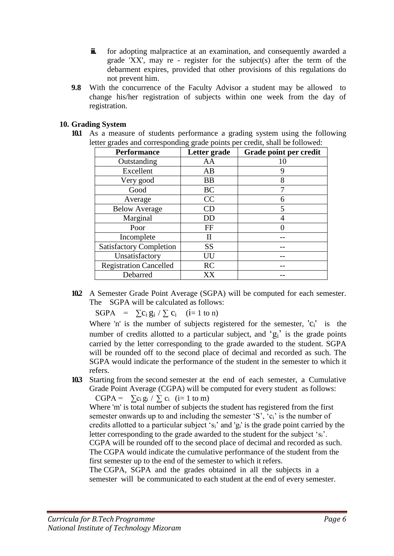- **iii.** for adopting malpractice at an examination, and consequently awarded a grade 'XX', may re - register for the subject(s) after the term of the debarment expires, provided that other provisions of this regulations do not prevent him.
- **9.8** With the concurrence of the Faculty Advisor a student may be allowed to change his/her registration of subjects within one week from the day of registration.

#### **10. Grading System**

**10.1** As a measure of students performance a grading system using the following letter grades and corresponding grade points per credit, shall be followed:

| <b>Performance</b>             | Letter grade | Grade point per credit |
|--------------------------------|--------------|------------------------|
| Outstanding                    | AA           | 10                     |
| Excellent                      | AB           | 9                      |
| Very good                      | <b>BB</b>    | 8                      |
| Good                           | <b>BC</b>    |                        |
| Average                        | CC           | 6                      |
| <b>Below Average</b>           | CD           | 5                      |
| Marginal                       | DD           | 4                      |
| Poor                           | FF           |                        |
| Incomplete                     | П            |                        |
| <b>Satisfactory Completion</b> | <b>SS</b>    |                        |
| Unsatisfactory                 | UU           |                        |
| <b>Registration Cancelled</b>  | <b>RC</b>    |                        |
| Debarred                       | XX           |                        |

**10.2** A Semester Grade Point Average (SGPA) will be computed for each semester. The SGPA will be calculated as follows:

 $SGPA = \sum c_i g_i / \sum c_i$  (i= 1 to n)

Where 'n' is the number of subjects registered for the semester,  $'c_i'$  is the number of credits allotted to a particular subject, and  ${}^{6}g_{i}{}^{3}$  is the grade points carried by the letter corresponding to the grade awarded to the student. SGPA will be rounded off to the second place of decimal and recorded as such. The SGPA would indicate the performance of the student in the semester to which it refers.

**10.3** Starting from the second semester at the end of each semester, a Cumulative Grade Point Average (CGPA) will be computed for every student as follows:

CGPA =  $\sum c_i g_i / \sum c_i$  (i= 1 to m)

Where 'm' is total number of subjects the student has registered from the first semester onwards up to and including the semester 'S', 'c<sub>i</sub>' is the number of credits allotted to a particular subject 'si' and 'gi' is the grade point carried by the letter corresponding to the grade awarded to the student for the subject 'si'. CGPA will be rounded off to the second place of decimal and recorded as such. The CGPA would indicate the cumulative performance of the student from the first semester up to the end of the semester to which it refers.

The CGPA, SGPA and the grades obtained in all the subjects in a semester will be communicated to each student at the end of every semester.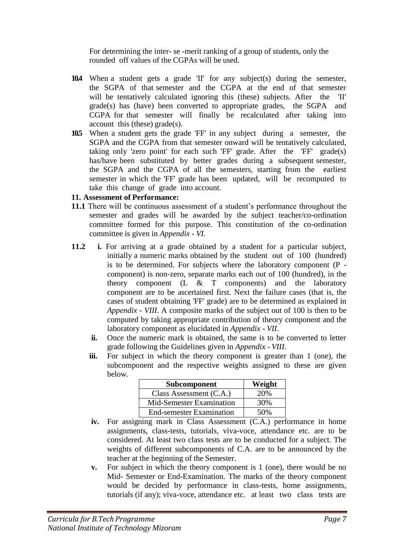For determining the inter- se -merit ranking of a group of students, only the rounded off values of the CGPAs will be used.

- **10.4** When a student gets a grade 'II' for any subject(s) during the semester, the SGPA of that semester and the CGPA at the end of that semester will be tentatively calculated ignoring this (these) subjects. After the 'II' grade(s) has (have) been converted to appropriate grades, the SGPA and CGPA for that semester will finally be recalculated after taking into account this (these) grade(s).
- **10.5** When a student gets the grade 'FF' in any subject during a semester, the SGPA and the CGPA from that semester onward will be tentatively calculated, taking only 'zero point' for each such 'FF' grade. After the 'FF' grade(s) has/have been substituted by better grades during a subsequent semester, the SGPA and the CGPA of all the semesters, starting from the earliest semester in which the 'FF' grade has been updated, will be recomputed to take this change of grade into account.

#### **11. Assessment of Performance:**

- **11.1** There will be continuous assessment of a student's performance throughout the semester and grades will be awarded by the subject teacher/co-ordination committee formed for this purpose. This constitution of the co-ordination committee is given in *Appendix - VI.*
- **11.2 i.** For arriving at a grade obtained by a student for a particular subject, initially a numeric marks obtained by the student out of 100 (hundred) is to be determined. For subjects where the laboratory component (P component) is non-zero, separate marks each out of 100 (hundred), in the theory component (L & T components) and the laboratory component are to be ascertained first. Next the failure cases (that is, the cases of student obtaining 'FF' grade) are to be determined as explained in *Appendix - VIII*. A composite marks of the subject out of 100 is then to be computed by taking appropriate contribution of theory component and the laboratory component as elucidated in *Appendix - VII*.
	- **ii.** Once the numeric mark is obtained, the same is to be converted to letter grade following the Guidelines given in *Appendix - VIII*.
	- **iii.** For subject in which the theory component is greater than 1 (one), the subcomponent and the respective weights assigned to these are given below.

| Subcomponent                    | Weight |
|---------------------------------|--------|
| Class Assessment $(C.A.)$       | 20%    |
| Mid-Semester Examination        | 30%    |
| <b>End-semester Examination</b> | 50%    |

- **iv.** For assigning mark in Class Assessment (C.A.) performance in home assignments, class-tests, tutorials, viva-voce, attendance etc. are to be considered. At least two class tests are to be conducted for a subject. The weights of different subcomponents of C.A. are to be announced by the teacher at the beginning of the Semester.
- **v.** For subject in which the theory component is 1 (one), there would be no Mid- Semester or End-Examination. The marks of the theory component would be decided by performance in class-tests, home assignments, tutorials (if any); viva-voce, attendance etc. at least two class tests are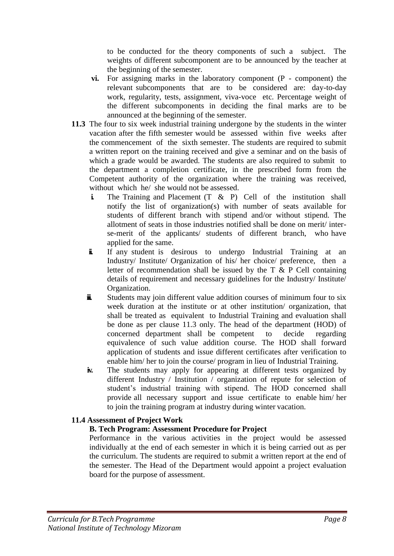to be conducted for the theory components of such a subject. The weights of different subcomponent are to be announced by the teacher at the beginning of the semester.

- **vi.** For assigning marks in the laboratory component (P component) the relevant subcomponents that are to be considered are: day-to-day work, regularity, tests, assignment, viva-voce etc. Percentage weight of the different subcomponents in deciding the final marks are to be announced at the beginning of the semester.
- **11.3** The four to six week industrial training undergone by the students in the winter vacation after the fifth semester would be assessed within five weeks after the commencement of the sixth semester. The students are required to submit a written report on the training received and give a seminar and on the basis of which a grade would be awarded. The students are also required to submit to the department a completion certificate, in the prescribed form from the Competent authority of the organization where the training was received, without which he/ she would not be assessed.
	- **i.** The Training and Placement (T & P) Cell of the institution shall notify the list of organization(s) with number of seats available for students of different branch with stipend and/or without stipend. The allotment of seats in those industries notified shall be done on merit/ interse-merit of the applicants/ students of different branch, who have applied for the same.
	- **ii.** If any student is desirous to undergo Industrial Training at an Industry/ Institute/ Organization of his/ her choice/ preference, then a letter of recommendation shall be issued by the  $T \& P$  Cell containing details of requirement and necessary guidelines for the Industry/ Institute/ Organization.
	- **ii** Students may join different value addition courses of minimum four to six week duration at the institute or at other institution/ organization, that shall be treated as equivalent to Industrial Training and evaluation shall be done as per clause 11.3 only. The head of the department (HOD) of concerned department shall be competent to decide regarding equivalence of such value addition course. The HOD shall forward application of students and issue different certificates after verification to enable him/ her to join the course/ program in lieu of Industrial Training.
	- **iv.** The students may apply for appearing at different tests organized by different Industry / Institution / organization of repute for selection of student's industrial training with stipend. The HOD concerned shall provide all necessary support and issue certificate to enable him/ her to join the training program at industry during winter vacation.

#### **11.4 Assessment of Project Work**

#### **B. Tech Program: Assessment Procedure for Project**

Performance in the various activities in the project would be assessed individually at the end of each semester in which it is being carried out as per the curriculum. The students are required to submit a written report at the end of the semester. The Head of the Department would appoint a project evaluation board for the purpose of assessment.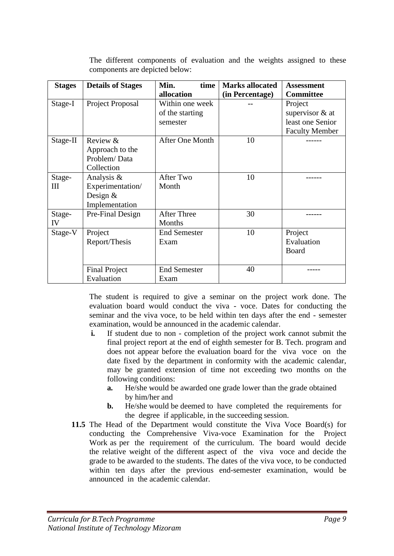| <b>Stages</b> | <b>Details of Stages</b>                                       | Min.<br>time<br>allocation         | <b>Marks allocated</b><br>(in Percentage) | <b>Assessment</b><br><b>Committee</b>     |
|---------------|----------------------------------------------------------------|------------------------------------|-------------------------------------------|-------------------------------------------|
| Stage-I       | Project Proposal                                               | Within one week<br>of the starting |                                           | Project<br>supervisor $&$ at              |
|               |                                                                | semester                           |                                           | least one Senior<br><b>Faculty Member</b> |
| Stage-II      | Review &<br>Approach to the<br>Problem/Data<br>Collection      | After One Month                    | 10                                        |                                           |
| Stage-<br>Ш   | Analysis &<br>Experimentation/<br>Design $&$<br>Implementation | <b>After Two</b><br>Month          | 10                                        |                                           |
| Stage-<br>IV  | Pre-Final Design                                               | <b>After Three</b><br>Months       | 30                                        |                                           |
| Stage-V       | Project<br>Report/Thesis                                       | <b>End Semester</b><br>Exam        | 10                                        | Project<br>Evaluation<br>Board            |
|               | <b>Final Project</b><br>Evaluation                             | <b>End Semester</b><br>Exam        | 40                                        |                                           |

The different components of evaluation and the weights assigned to these components are depicted below:

The student is required to give a seminar on the project work done. The evaluation board would conduct the viva - voce. Dates for conducting the seminar and the viva voce, to be held within ten days after the end - semester examination, would be announced in the academic calendar.

- **i.** If student due to non completion of the project work cannot submit the final project report at the end of eighth semester for B. Tech. program and does not appear before the evaluation board for the viva voce on the date fixed by the department in conformity with the academic calendar, may be granted extension of time not exceeding two months on the following conditions:
	- **a.** He/she would be awarded one grade lower than the grade obtained by him/her and
	- **b.** He/she would be deemed to have completed the requirements for the degree if applicable, in the succeeding session.
- **11.5** The Head of the Department would constitute the Viva Voce Board(s) for conducting the Comprehensive Viva-voce Examination for the Project Work as per the requirement of the curriculum. The board would decide the relative weight of the different aspect of the viva voce and decide the grade to be awarded to the students. The dates of the viva voce, to be conducted within ten days after the previous end-semester examination, would be announced in the academic calendar.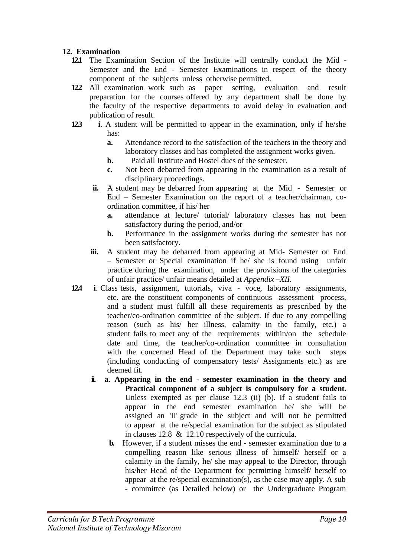#### **12. Examination**

- **12.1** The Examination Section of the Institute will centrally conduct the Mid Semester and the End - Semester Examinations in respect of the theory component of the subjects unless otherwise permitted.
- **12.2** All examination work such as paper setting, evaluation and result preparation for the courses offered by any department shall be done by the faculty of the respective departments to avoid delay in evaluation and publication of result.
- **12.3 i**. A student will be permitted to appear in the examination, only if he/she has:
	- **a.** Attendance record to the satisfaction of the teachers in the theory and laboratory classes and has completed the assignment works given.
	- **b.** Paid all Institute and Hostel dues of the semester.
	- **c.** Not been debarred from appearing in the examination as a result of disciplinary proceedings.
	- **ii.** A student may be debarred from appearing at the Mid Semester or End – Semester Examination on the report of a teacher/chairman, coordination committee, if his/ her
		- **a.** attendance at lecture/ tutorial/ laboratory classes has not been satisfactory during the period, and/or
		- **b.** Performance in the assignment works during the semester has not been satisfactory.
	- **iii.** A student may be debarred from appearing at Mid- Semester or End – Semester or Special examination if he/ she is found using unfair practice during the examination, under the provisions of the categories of unfair practice/ unfair means detailed at *Appendix –XII*.
- **12.4 i**. Class tests, assignment, tutorials, viva voce, laboratory assignments, etc. are the constituent components of continuous assessment process, and a student must fulfill all these requirements as prescribed by the teacher/co-ordination committee of the subject. If due to any compelling reason (such as his/ her illness, calamity in the family, etc.) a student fails to meet any of the requirements within/on the schedule date and time, the teacher/co-ordination committee in consultation with the concerned Head of the Department may take such steps (including conducting of compensatory tests/ Assignments etc.) as are deemed fit.
	- **ii. a**. **Appearing in the end - semester examination in the theory and Practical component of a subject is compulsory for a student.**  Unless exempted as per clause 12.3 (ii) (b). If a student fails to appear in the end semester examination he/ she will be assigned an 'II' grade in the subject and will not be permitted to appear at the re/special examination for the subject as stipulated in clauses 12.8 & 12.10 respectively of the curricula.
		- **b.** However, if a student misses the end semester examination due to a compelling reason like serious illness of himself/ herself or a calamity in the family, he/ she may appeal to the Director, through his/her Head of the Department for permitting himself/ herself to appear at the re/special examination(s), as the case may apply. A sub - committee (as Detailed below) or the Undergraduate Program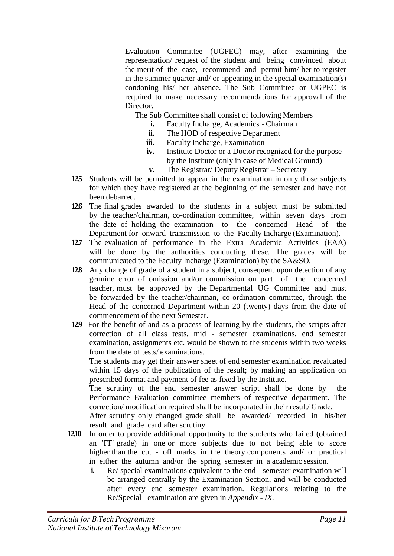Evaluation Committee (UGPEC) may, after examining the representation/ request of the student and being convinced about the merit of the case, recommend and permit him/ her to register in the summer quarter and/ or appearing in the special examination(s) condoning his/ her absence. The Sub Committee or UGPEC is required to make necessary recommendations for approval of the Director.

The Sub Committee shall consist of following Members

- **i.** Faculty Incharge, Academics Chairman
	- **ii.** The HOD of respective Department
- **iii.** Faculty Incharge, Examination
- **iv.** Institute Doctor or a Doctor recognized for the purpose by the Institute (only in case of Medical Ground)
- **v.** The Registrar/ Deputy Registrar Secretary
- **12.5** Students will be permitted to appear in the examination in only those subjects for which they have registered at the beginning of the semester and have not been debarred.
- **12.6** The final grades awarded to the students in a subject must be submitted by the teacher/chairman, co-ordination committee, within seven days from the date of holding the examination to the concerned Head of the Department for onward transmission to the Faculty Incharge (Examination).
- **12.7** The evaluation of performance in the Extra Academic Activities (EAA) will be done by the authorities conducting these. The grades will be communicated to the Faculty Incharge (Examination) by the SA&SO.
- **12.8** Any change of grade of a student in a subject, consequent upon detection of any genuine error of omission and/or commission on part of the concerned teacher, must be approved by the Departmental UG Committee and must be forwarded by the teacher/chairman, co-ordination committee, through the Head of the concerned Department within 20 (twenty) days from the date of commencement of the next Semester.
- **12.9** For the benefit of and as a process of learning by the students, the scripts after correction of all class tests, mid - semester examinations, end semester examination, assignments etc. would be shown to the students within two weeks from the date of tests/ examinations.

The students may get their answer sheet of end semester examination revaluated within 15 days of the publication of the result; by making an application on prescribed format and payment of fee as fixed by the Institute.

The scrutiny of the end semester answer script shall be done by the Performance Evaluation committee members of respective department. The correction/ modification required shall be incorporated in their result/ Grade.

After scrutiny only changed grade shall be awarded/ recorded in his/her result and grade card after scrutiny.

- **12.10** In order to provide additional opportunity to the students who failed (obtained an 'FF' grade) in one or more subjects due to not being able to score higher than the cut - off marks in the theory components and/ or practical in either the autumn and/or the spring semester in a academic session.
	- **i.** Re/ special examinations equivalent to the end semester examination will be arranged centrally by the Examination Section, and will be conducted after every end semester examination. Regulations relating to the Re/Special examination are given in *Appendix - IX*.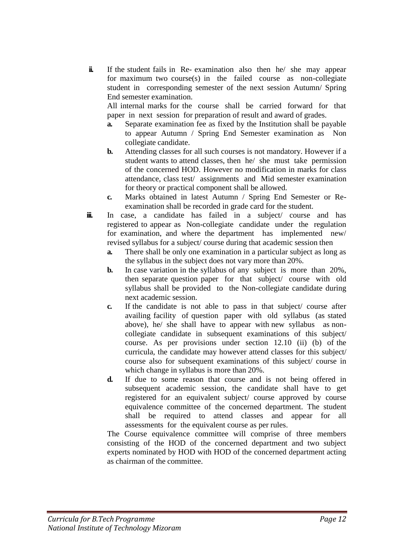**ii.** If the student fails in Re- examination also then he/ she may appear for maximum two course(s) in the failed course as non-collegiate student in corresponding semester of the next session Autumn/ Spring End semester examination.

All internal marks for the course shall be carried forward for that paper in next session for preparation of result and award of grades.

- **a.** Separate examination fee as fixed by the Institution shall be payable to appear Autumn / Spring End Semester examination as Non collegiate candidate.
- **b.** Attending classes for all such courses is not mandatory. However if a student wants to attend classes, then he/ she must take permission of the concerned HOD. However no modification in marks for class attendance, class test/ assignments and Mid semester examination for theory or practical component shall be allowed.
- **c.** Marks obtained in latest Autumn / Spring End Semester or Reexamination shall be recorded in grade card for the student.
- **iii.** In case, a candidate has failed in a subject/ course and has registered to appear as Non-collegiate candidate under the regulation for examination, and where the department has implemented new/ revised syllabus for a subject/ course during that academic session then
	- **a.** There shall be only one examination in a particular subject as long as the syllabus in the subject does not vary more than 20%.
	- **b.** In case variation in the syllabus of any subject is more than 20%, then separate question paper for that subject/ course with old syllabus shall be provided to the Non-collegiate candidate during next academic session.
	- **c.** If the candidate is not able to pass in that subject/ course after availing facility of question paper with old syllabus (as stated above), he/ she shall have to appear with new syllabus as noncollegiate candidate in subsequent examinations of this subject/ course. As per provisions under section 12.10 (ii) (b) of the curricula, the candidate may however attend classes for this subject/ course also for subsequent examinations of this subject/ course in which change in syllabus is more than 20%.
	- **d.** If due to some reason that course and is not being offered in subsequent academic session, the candidate shall have to get registered for an equivalent subject/ course approved by course equivalence committee of the concerned department. The student shall be required to attend classes and appear for all assessments for the equivalent course as per rules.

The Course equivalence committee will comprise of three members consisting of the HOD of the concerned department and two subject experts nominated by HOD with HOD of the concerned department acting as chairman of the committee.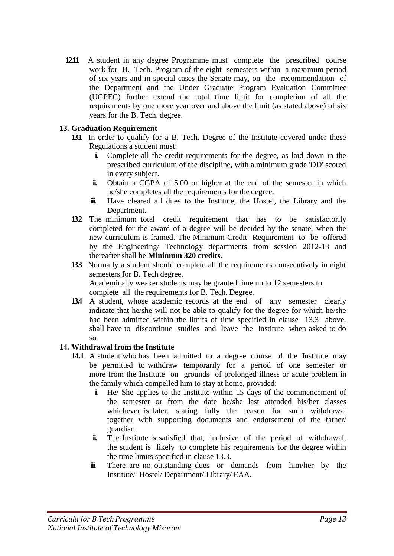**12.11** A student in any degree Programme must complete the prescribed course work for B. Tech. Program of the eight semesters within a maximum period of six years and in special cases the Senate may, on the recommendation of the Department and the Under Graduate Program Evaluation Committee (UGPEC) further extend the total time limit for completion of all the requirements by one more year over and above the limit (as stated above) of six years for the B. Tech. degree.

#### **13. Graduation Requirement**

- **13.1** In order to qualify for a B. Tech. Degree of the Institute covered under these Regulations a student must:
	- **i.** Complete all the credit requirements for the degree, as laid down in the prescribed curriculum of the discipline, with a minimum grade 'DD' scored in every subject.
	- **ii.** Obtain a CGPA of 5.00 or higher at the end of the semester in which he/she completes all the requirements for the degree.
	- **ii.** Have cleared all dues to the Institute, the Hostel, the Library and the Department.
- **13.2** The minimum total credit requirement that has to be satisfactorily completed for the award of a degree will be decided by the senate, when the new curriculum is framed. The Minimum Credit Requirement to be offered by the Engineering/ Technology departments from session 2012-13 and thereafter shall be **Minimum 320 credits.**
- **13.3** Normally a student should complete all the requirements consecutively in eight semesters for B. Tech degree. Academically weaker students may be granted time up to 12 semesters to

complete all the requirements for B. Tech. Degree.

**13.4** A student, whose academic records at the end of any semester clearly indicate that he/she will not be able to qualify for the degree for which he/she had been admitted within the limits of time specified in clause 13.3 above, shall have to discontinue studies and leave the Institute when asked to do so.

#### **14. Withdrawal from the Institute**

- **14.1** A student who has been admitted to a degree course of the Institute may be permitted to withdraw temporarily for a period of one semester or more from the Institute on grounds of prolonged illness or acute problem in the family which compelled him to stay at home, provided:
	- **i.** He/ She applies to the Institute within 15 days of the commencement of the semester or from the date he/she last attended his/her classes whichever is later, stating fully the reason for such withdrawal together with supporting documents and endorsement of the father/ guardian.
	- **ii.** The Institute is satisfied that, inclusive of the period of withdrawal, the student is likely to complete his requirements for the degree within the time limits specified in clause 13.3.
	- **ii.** There are no outstanding dues or demands from him/her by the Institute/ Hostel/ Department/ Library/ EAA.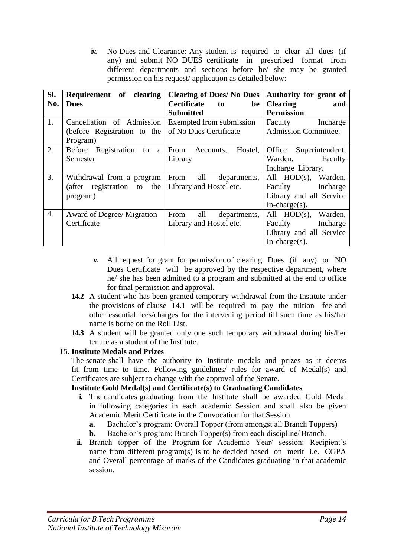**iv.** No Dues and Clearance: Any student is required to clear all dues (if any) and submit NO DUES certificate in prescribed format from different departments and sections before he/ she may be granted permission on his request/ application as detailed below:

| SI.              | Requirement of clearing                            | <b>Clearing of Dues/ No Dues</b> | Authority for grant of      |
|------------------|----------------------------------------------------|----------------------------------|-----------------------------|
| No.              | <b>Dues</b>                                        | <b>Certificate</b><br>be<br>to   | <b>Clearing</b><br>and      |
|                  |                                                    | <b>Submitted</b>                 | <b>Permission</b>           |
| 1.               | Cancellation of Admission                          | Exempted from submission         | Faculty<br>Incharge         |
|                  | (before Registration to the                        | of No Dues Certificate           | <b>Admission Committee.</b> |
|                  | Program)                                           |                                  |                             |
| 2.               | Before Registration<br>to<br>a                     | From Accounts,<br>Hostel,        | Office<br>Superintendent,   |
|                  | Semester                                           | Library                          | Warden,<br>Faculty          |
|                  |                                                    |                                  | Incharge Library.           |
| 3.               | Withdrawal from a program From                     | all<br>departments,              | All HOD(s), Warden,         |
|                  | (after registration to the Library and Hostel etc. |                                  | Faculty Incharge            |
|                  | program)                                           |                                  | Library and all Service     |
|                  |                                                    |                                  | In-charge $(s)$ .           |
| $\overline{4}$ . | Award of Degree/ Migration                         | From<br>all<br>departments,      | All HOD(s), Warden,         |
|                  | Certificate                                        | Library and Hostel etc.          | Faculty Incharge            |
|                  |                                                    |                                  | Library and all Service     |
|                  |                                                    |                                  | $In-charge(s)$ .            |

- **v.** All request for grant for permission of clearing Dues (if any) or NO Dues Certificate will be approved by the respective department, where he/ she has been admitted to a program and submitted at the end to office for final permission and approval.
- **14.2** A student who has been granted temporary withdrawal from the Institute under the provisions of clause 14.1 will be required to pay the tuition fee and other essential fees/charges for the intervening period till such time as his/her name is borne on the Roll List.
- **14.3** A student will be granted only one such temporary withdrawal during his/her tenure as a student of the Institute.

#### 15. **Institute Medals and Prizes**

The senate shall have the authority to Institute medals and prizes as it deems fit from time to time. Following guidelines/ rules for award of Medal(s) and Certificates are subject to change with the approval of the Senate.

#### **Institute Gold Medal(s) and Certificate(s) to Graduating Candidates**

- **i.** The candidates graduating from the Institute shall be awarded Gold Medal in following categories in each academic Session and shall also be given Academic Merit Certificate in the Convocation for that Session
	- **a.** Bachelor's program: Overall Topper (from amongst all Branch Toppers)
	- **b.** Bachelor's program: Branch Topper(s) from each discipline/ Branch.
- **ii.** Branch topper of the Program for Academic Year/ session: Recipient's name from different program(s) is to be decided based on merit i.e. CGPA and Overall percentage of marks of the Candidates graduating in that academic session.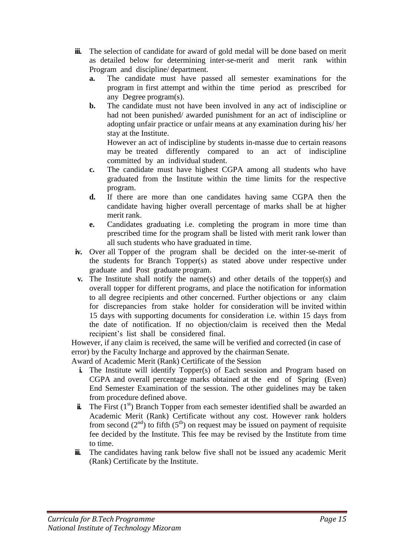- **iii.** The selection of candidate for award of gold medal will be done based on merit as detailed below for determining inter-se-merit and merit rank within Program and discipline/ department.
	- **a.** The candidate must have passed all semester examinations for the program in first attempt and within the time period as prescribed for any Degree program(s).
	- **b.** The candidate must not have been involved in any act of indiscipline or had not been punished/ awarded punishment for an act of indiscipline or adopting unfair practice or unfair means at any examination during his/ her stay at the Institute.

However an act of indiscipline by students in-masse due to certain reasons may be treated differently compared to an act of indiscipline committed by an individual student.

- **c.** The candidate must have highest CGPA among all students who have graduated from the Institute within the time limits for the respective program.
- **d.** If there are more than one candidates having same CGPA then the candidate having higher overall percentage of marks shall be at higher merit rank.
- **e.** Candidates graduating i.e. completing the program in more time than prescribed time for the program shall be listed with merit rank lower than all such students who have graduated in time.
- **iv.** Over all Topper of the program shall be decided on the inter-se-merit of the students for Branch Topper(s) as stated above under respective under graduate and Post graduate program.
- **v.** The Institute shall notify the name(s) and other details of the topper(s) and overall topper for different programs, and place the notification for information to all degree recipients and other concerned. Further objections or any claim for discrepancies from stake holder for consideration will be invited within 15 days with supporting documents for consideration i.e. within 15 days from the date of notification. If no objection/claim is received then the Medal recipient's list shall be considered final.

However, if any claim is received, the same will be verified and corrected (in case of error) by the Faculty Incharge and approved by the chairman Senate.

Award of Academic Merit (Rank) Certificate of the Session

- **i.** The Institute will identify Topper(s) of Each session and Program based on CGPA and overall percentage marks obtained at the end of Spring (Even) End Semester Examination of the session. The other guidelines may be taken from procedure defined above.
- $\ddot{\mathbf{i}}$ . The First  $(1^{st})$  Branch Topper from each semester identified shall be awarded an Academic Merit (Rank) Certificate without any cost. However rank holders from second  $(2^{nd})$  to fifth  $(5^{th})$  on request may be issued on payment of requisite fee decided by the Institute. This fee may be revised by the Institute from time to time.
- **iii.** The candidates having rank below five shall not be issued any academic Merit (Rank) Certificate by the Institute.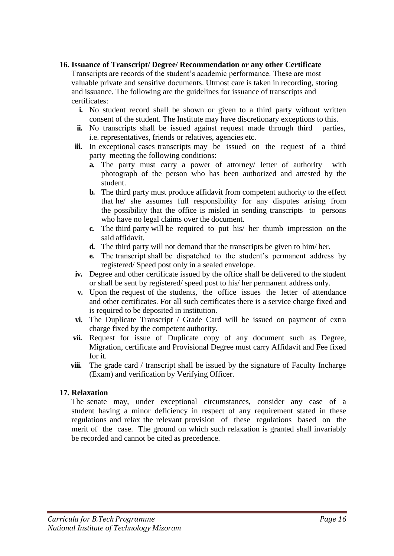#### **16. Issuance of Transcript/ Degree/ Recommendation or any other Certificate**

Transcripts are records of the student's academic performance. These are most valuable private and sensitive documents. Utmost care is taken in recording, storing and issuance. The following are the guidelines for issuance of transcripts and certificates:

- **i.** No student record shall be shown or given to a third party without written consent of the student. The Institute may have discretionary exceptions to this.
- **ii.** No transcripts shall be issued against request made through third parties, i.e. representatives, friends or relatives, agencies etc.
- **iii.** In exceptional cases transcripts may be issued on the request of a third party meeting the following conditions:
	- **a.** The party must carry a power of attorney/ letter of authority with photograph of the person who has been authorized and attested by the student.
	- **b.** The third party must produce affidavit from competent authority to the effect that he/ she assumes full responsibility for any disputes arising from the possibility that the office is misled in sending transcripts to persons who have no legal claims over the document.
	- **c.** The third party will be required to put his/ her thumb impression on the said affidavit.
	- **d.** The third party will not demand that the transcripts be given to him/ her.
	- **e.** The transcript shall be dispatched to the student's permanent address by registered/ Speed post only in a sealed envelope.
- **iv.** Degree and other certificate issued by the office shall be delivered to the student or shall be sent by registered/ speed post to his/ her permanent address only.
- **v.** Upon the request of the students, the office issues the letter of attendance and other certificates. For all such certificates there is a service charge fixed and is required to be deposited in institution.
- **vi.** The Duplicate Transcript / Grade Card will be issued on payment of extra charge fixed by the competent authority.
- **vii.** Request for issue of Duplicate copy of any document such as Degree, Migration, certificate and Provisional Degree must carry Affidavit and Fee fixed for it.
- **viii.** The grade card / transcript shall be issued by the signature of Faculty Incharge (Exam) and verification by Verifying Officer.

#### **17. Relaxation**

The senate may, under exceptional circumstances, consider any case of a student having a minor deficiency in respect of any requirement stated in these regulations and relax the relevant provision of these regulations based on the merit of the case. The ground on which such relaxation is granted shall invariably be recorded and cannot be cited as precedence.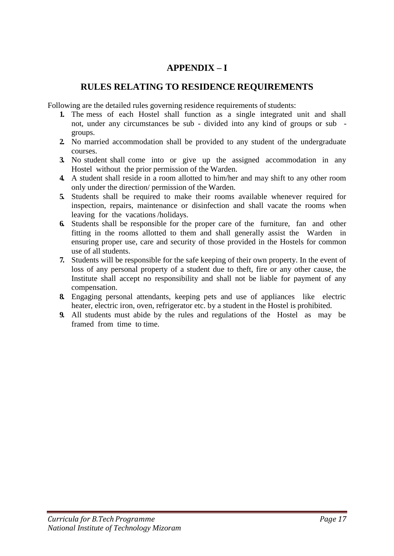## **APPENDIX – I**

## **RULES RELATING TO RESIDENCE REQUIREMENTS**

Following are the detailed rules governing residence requirements of students:

- **1.** The mess of each Hostel shall function as a single integrated unit and shall not, under any circumstances be sub - divided into any kind of groups or sub groups.
- **2.** No married accommodation shall be provided to any student of the undergraduate courses.
- **3.** No student shall come into or give up the assigned accommodation in any Hostel without the prior permission of the Warden.
- **4.** A student shall reside in a room allotted to him/her and may shift to any other room only under the direction/ permission of the Warden.
- **5.** Students shall be required to make their rooms available whenever required for inspection, repairs, maintenance or disinfection and shall vacate the rooms when leaving for the vacations /holidays.
- **6.** Students shall be responsible for the proper care of the furniture, fan and other fitting in the rooms allotted to them and shall generally assist the Warden in ensuring proper use, care and security of those provided in the Hostels for common use of all students.
- **7.** Students will be responsible for the safe keeping of their own property. In the event of loss of any personal property of a student due to theft, fire or any other cause, the Institute shall accept no responsibility and shall not be liable for payment of any compensation.
- **8.** Engaging personal attendants, keeping pets and use of appliances like electric heater, electric iron, oven, refrigerator etc. by a student in the Hostel is prohibited.
- **9.** All students must abide by the rules and regulations of the Hostel as may be framed from time to time.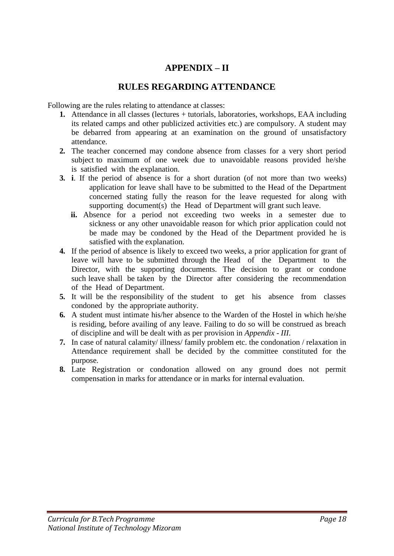## **APPENDIX – II**

### **RULES REGARDING ATTENDANCE**

Following are the rules relating to attendance at classes:

- **1.** Attendance in all classes (lectures + tutorials, laboratories, workshops, EAA including its related camps and other publicized activities etc.) are compulsory. A student may be debarred from appearing at an examination on the ground of unsatisfactory attendance.
- **2.** The teacher concerned may condone absence from classes for a very short period subject to maximum of one week due to unavoidable reasons provided he/she is satisfied with the explanation.
- **3. i**. If the period of absence is for a short duration (of not more than two weeks) application for leave shall have to be submitted to the Head of the Department concerned stating fully the reason for the leave requested for along with supporting document(s) the Head of Department will grant such leave.
	- ii. Absence for a period not exceeding two weeks in a semester due to sickness or any other unavoidable reason for which prior application could not be made may be condoned by the Head of the Department provided he is satisfied with the explanation.
- **4.** If the period of absence is likely to exceed two weeks, a prior application for grant of leave will have to be submitted through the Head of the Department to the Director, with the supporting documents. The decision to grant or condone such leave shall be taken by the Director after considering the recommendation of the Head of Department.
- **5.** It will be the responsibility of the student to get his absence from classes condoned by the appropriate authority.
- **6.** A student must intimate his/her absence to the Warden of the Hostel in which he/she is residing, before availing of any leave. Failing to do so will be construed as breach of discipline and will be dealt with as per provision in *Appendix - III*.
- **7.** In case of natural calamity/ illness/ family problem etc. the condonation / relaxation in Attendance requirement shall be decided by the committee constituted for the purpose.
- **8.** Late Registration or condonation allowed on any ground does not permit compensation in marks for attendance or in marks for internal evaluation.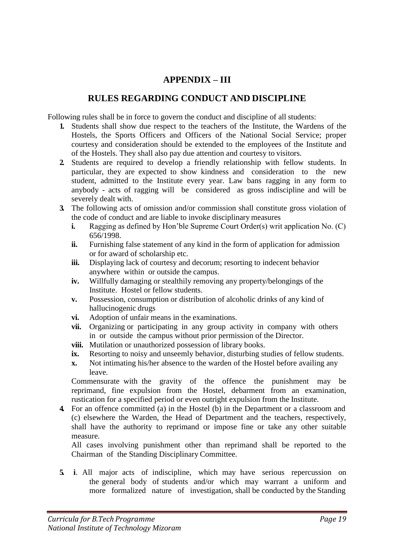## **APPENDIX – III**

## **RULES REGARDING CONDUCT AND DISCIPLINE**

Following rules shall be in force to govern the conduct and discipline of all students:

- **1.** Students shall show due respect to the teachers of the Institute, the Wardens of the Hostels, the Sports Officers and Officers of the National Social Service; proper courtesy and consideration should be extended to the employees of the Institute and of the Hostels. They shall also pay due attention and courtesy to visitors.
- **2.** Students are required to develop a friendly relationship with fellow students. In particular, they are expected to show kindness and consideration to the new student, admitted to the Institute every year. Law bans ragging in any form to anybody - acts of ragging will be considered as gross indiscipline and will be severely dealt with.
- **3.** The following acts of omission and/or commission shall constitute gross violation of the code of conduct and are liable to invoke disciplinary measures
	- **i.** Ragging as defined by Hon'ble Supreme Court Order(s) writ application No. (C) 656/1998.
	- **ii.** Furnishing false statement of any kind in the form of application for admission or for award of scholarship etc.
	- **iii.** Displaying lack of courtesy and decorum; resorting to indecent behavior anywhere within or outside the campus.
	- **iv.** Willfully damaging or stealthily removing any property/belongings of the Institute. Hostel or fellow students.
	- **v.** Possession, consumption or distribution of alcoholic drinks of any kind of hallucinogenic drugs
	- **vi.** Adoption of unfair means in the examinations.
	- **vii.** Organizing or participating in any group activity in company with others in or outside the campus without prior permission of the Director.
	- **viii.** Mutilation or unauthorized possession of library books.
	- **ix.** Resorting to noisy and unseemly behavior, disturbing studies of fellow students.
	- **x.** Not intimating his/her absence to the warden of the Hostel before availing any leave.

Commensurate with the gravity of the offence the punishment may be reprimand, fine expulsion from the Hostel, debarment from an examination, rustication for a specified period or even outright expulsion from the Institute.

**4.** For an offence committed (a) in the Hostel (b) in the Department or a classroom and (c) elsewhere the Warden, the Head of Department and the teachers, respectively, shall have the authority to reprimand or impose fine or take any other suitable measure.

All cases involving punishment other than reprimand shall be reported to the Chairman of the Standing Disciplinary Committee.

**5. i**. All major acts of indiscipline, which may have serious repercussion on the general body of students and/or which may warrant a uniform and more formalized nature of investigation, shall be conducted by the Standing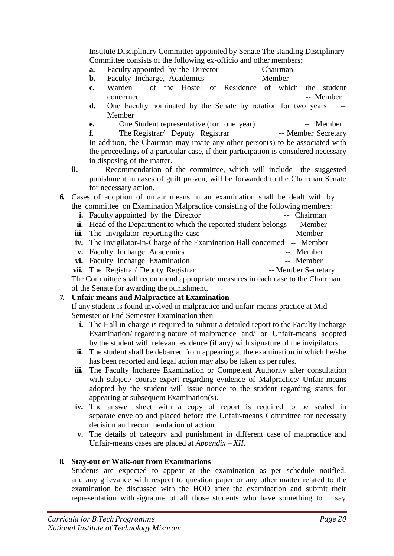Institute Disciplinary Committee appointed by Senate The standing Disciplinary Committee consists of the following ex-officio and other members:

- **a.** Faculty appointed by the Director -- Chairman<br> **b.** Eaculty Incharge Academics -- Member
- **b.** Faculty Incharge, Academics -- Member
- **c.** Warden of the Hostel of Residence of which the student concerned -- Member
- **d.** One Faculty nominated by the Senate by rotation for two years Member
- **e.** One Student representative (for one year) -- Member<br> **f.** The Registrar Cheputy Registrar -- Member Secretary

**f.** The Registrar/ Deputy Registrar In addition, the Chairman may invite any other person(s) to be associated with the proceedings of a particular case, if their participation is considered necessary in disposing of the matter.

- **ii.** Recommendation of the committee, which will include the suggested punishment in cases of guilt proven, will be forwarded to the Chairman Senate for necessary action.
- **6.** Cases of adoption of unfair means in an examination shall be dealt with by the committee on Examination Malpractice consisting of the following members:
	- **i.** Faculty appointed by the Director -- Chairman
	- **ii.** Head of the Department to which the reported student belongs -- Member
	- **iii.** The Invigilator reporting the case -- Member
	- **iv.** The Invigilator-in-Charge of the Examination Hall concerned -- Member
	- **v.** Faculty Incharge Academics -- Member
	- vi. Faculty Incharge Examination -- Member
	- vii. The Registrar/ Deputy Registrar -- Member Secretary

The Committee shall recommend appropriate measures in each case to the Chairman of the Senate for awarding the punishment.

### **7. Unfair means and Malpractice at Examination**

If any student is found involved in malpractice and unfair-means practice at Mid Semester or End Semester Examination then

- **i.** The Hall in-charge is required to submit a detailed report to the Faculty Incharge Examination/ regarding nature of malpractice and/ or Unfair-means adopted by the student with relevant evidence (if any) with signature of the invigilators.
- **ii.** The student shall be debarred from appearing at the examination in which he/she has been reported and legal action may also be taken as per rules.
- **iii.** The Faculty Incharge Examination or Competent Authority after consultation with subject/ course expert regarding evidence of Malpractice/ Unfair-means adopted by the student will issue notice to the student regarding status for appearing at subsequent Examination(s).
- **iv.** The answer sheet with a copy of report is required to be sealed in separate envelop and placed before the Unfair-means Committee for necessary decision and recommendation of action.
- **v.** The details of category and punishment in different case of malpractice and Unfair-means cases are placed at *Appendix – XII*.

#### **8. Stay-out or Walk-out from Examinations**

Students are expected to appear at the examination as per schedule notified, and any grievance with respect to question paper or any other matter related to the examination be discussed with the HOD after the examination and submit their representation with signature of all those students who have something to say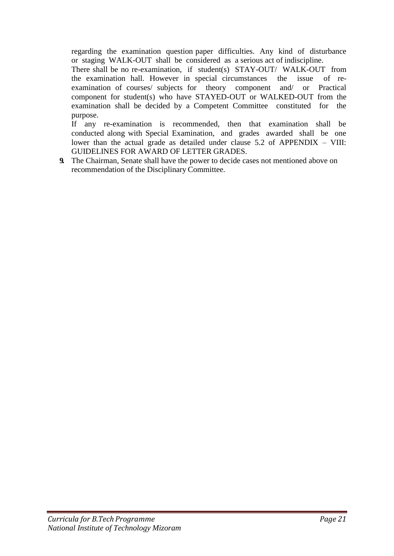regarding the examination question paper difficulties. Any kind of disturbance or staging WALK-OUT shall be considered as a serious act of indiscipline.

There shall be no re-examination, if student(s) STAY-OUT/ WALK-OUT from the examination hall. However in special circumstances the issue of reexamination of courses/ subjects for theory component and/ or Practical component for student(s) who have STAYED-OUT or WALKED-OUT from the examination shall be decided by a Competent Committee constituted for the purpose.

If any re-examination is recommended, then that examination shall be conducted along with Special Examination, and grades awarded shall be one lower than the actual grade as detailed under clause 5.2 of APPENDIX – VIII: GUIDELINES FOR AWARD OF LETTER GRADES.

**9.** The Chairman, Senate shall have the power to decide cases not mentioned above on recommendation of the Disciplinary Committee.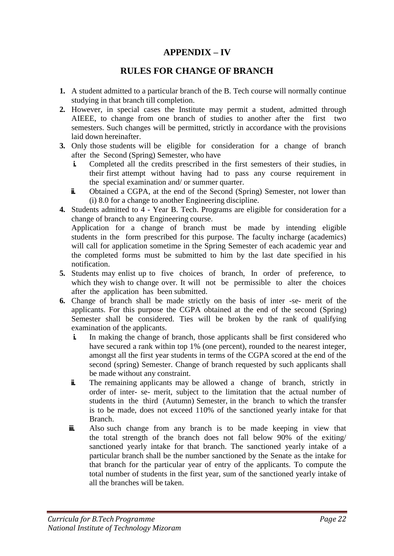## **APPENDIX – IV**

### **RULES FOR CHANGE OF BRANCH**

- **1.** A student admitted to a particular branch of the B. Tech course will normally continue studying in that branch till completion.
- **2.** However, in special cases the Institute may permit a student, admitted through AIEEE, to change from one branch of studies to another after the first two semesters. Such changes will be permitted, strictly in accordance with the provisions laid down hereinafter.
- **3.** Only those students will be eligible for consideration for a change of branch after the Second (Spring) Semester, who have
	- **i.** Completed all the credits prescribed in the first semesters of their studies, in their first attempt without having had to pass any course requirement in the special examination and/ or summer quarter.
	- **ii.** Obtained a CGPA, at the end of the Second (Spring) Semester, not lower than (i) 8.0 for a change to another Engineering discipline.
- **4.** Students admitted to 4 Year B. Tech. Programs are eligible for consideration for a change of branch to any Engineering course.

Application for a change of branch must be made by intending eligible students in the form prescribed for this purpose. The faculty incharge (academics) will call for application sometime in the Spring Semester of each academic year and the completed forms must be submitted to him by the last date specified in his notification.

- **5.** Students may enlist up to five choices of branch, In order of preference, to which they wish to change over. It will not be permissible to alter the choices after the application has been submitted.
- **6.** Change of branch shall be made strictly on the basis of inter -se- merit of the applicants. For this purpose the CGPA obtained at the end of the second (Spring) Semester shall be considered. Ties will be broken by the rank of qualifying examination of the applicants.
	- **i.** In making the change of branch, those applicants shall be first considered who have secured a rank within top 1% (one percent), rounded to the nearest integer, amongst all the first year students in terms of the CGPA scored at the end of the second (spring) Semester. Change of branch requested by such applicants shall be made without any constraint.
	- **ii.** The remaining applicants may be allowed a change of branch, strictly in order of inter- se- merit, subject to the limitation that the actual number of students in the third (Autumn) Semester, in the branch to which the transfer is to be made, does not exceed 110% of the sanctioned yearly intake for that Branch.
	- **iii.** Also such change from any branch is to be made keeping in view that the total strength of the branch does not fall below 90% of the exiting/ sanctioned yearly intake for that branch. The sanctioned yearly intake of a particular branch shall be the number sanctioned by the Senate as the intake for that branch for the particular year of entry of the applicants. To compute the total number of students in the first year, sum of the sanctioned yearly intake of all the branches will be taken.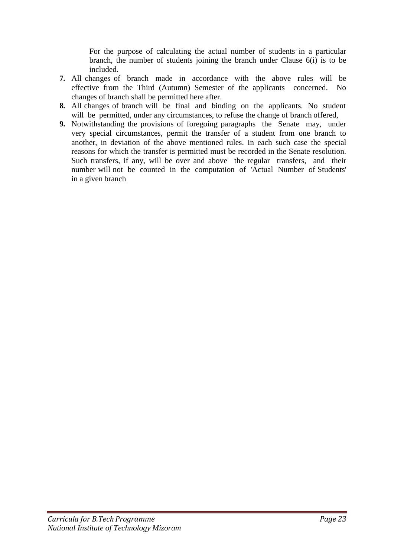For the purpose of calculating the actual number of students in a particular branch, the number of students joining the branch under Clause 6(i) is to be included.

- **7.** All changes of branch made in accordance with the above rules will be effective from the Third (Autumn) Semester of the applicants concerned. No changes of branch shall be permitted here after.
- **8.** All changes of branch will be final and binding on the applicants. No student will be permitted, under any circumstances, to refuse the change of branch offered,
- **9.** Notwithstanding the provisions of foregoing paragraphs the Senate may, under very special circumstances, permit the transfer of a student from one branch to another, in deviation of the above mentioned rules. In each such case the special reasons for which the transfer is permitted must be recorded in the Senate resolution. Such transfers, if any, will be over and above the regular transfers, and their number will not be counted in the computation of 'Actual Number of Students' in a given branch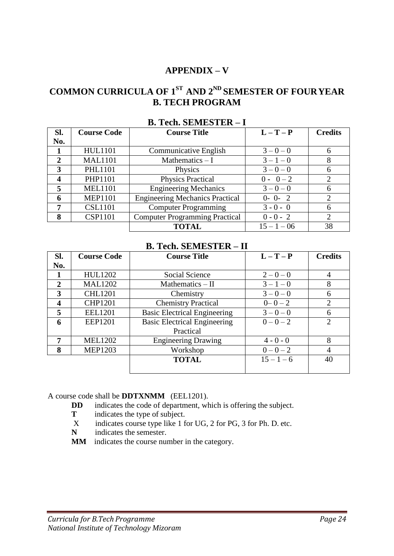## **APPENDIX – V**

# **COMMON CURRICULA OF 1ST AND 2ND SEMESTER OF FOURYEAR B. TECH PROGRAM**

| Sl.              | <b>Course Code</b> | <b>Course Title</b>                    | $L-T-P$       | <b>Credits</b> |
|------------------|--------------------|----------------------------------------|---------------|----------------|
| No.              |                    |                                        |               |                |
|                  | <b>HUL1101</b>     | <b>Communicative English</b>           | $3 - 0 - 0$   | 6              |
| $\mathbf{2}$     | <b>MAL1101</b>     | Mathematics $-I$                       | $3 - 1 - 0$   | 8              |
| 3                | <b>PHL1101</b>     | Physics                                | $3 - 0 - 0$   | 6              |
| $\boldsymbol{4}$ | PHP1101            | <b>Physics Practical</b>               | $0 - 0 - 2$   | 2              |
| 5                | <b>MEL1101</b>     | <b>Engineering Mechanics</b>           | $3 - 0 - 0$   | 6              |
| 6                | <b>MEP1101</b>     | <b>Engineering Mechanics Practical</b> | $0 - 0 - 2$   | 2              |
| 7                | <b>CSL1101</b>     | <b>Computer Programming</b>            | $3 - 0 - 0$   | 6              |
| 8                | <b>CSP1101</b>     | <b>Computer Programming Practical</b>  | $0 - 0 - 2$   | 2              |
|                  |                    | <b>TOTAL</b>                           | $15 - 1 - 06$ | 38             |

#### **B. Tech. SEMESTER – I**

#### **B. Tech. SEMESTER – II**

| SI.              | <b>Course Code</b> | <b>Course Title</b>                 | $L-T-P$      | <b>Credits</b> |
|------------------|--------------------|-------------------------------------|--------------|----------------|
| No.              |                    |                                     |              |                |
|                  | <b>HUL1202</b>     | Social Science                      | $2 - 0 - 0$  | 4              |
| $\overline{2}$   | <b>MAL1202</b>     | Mathematics $-$ II                  | $3 - 1 - 0$  | 8              |
| 3                | <b>CHL1201</b>     | Chemistry                           | $3 - 0 - 0$  | 6              |
| $\boldsymbol{4}$ | <b>CHP1201</b>     | <b>Chemistry Practical</b>          | $0 - 0 - 2$  | $\overline{2}$ |
| 5                | <b>EEL1201</b>     | <b>Basic Electrical Engineering</b> | $3 - 0 - 0$  | 6              |
| 6                | <b>EEP1201</b>     | <b>Basic Electrical Engineering</b> | $0 - 0 - 2$  | $\overline{2}$ |
|                  |                    | Practical                           |              |                |
| 7                | <b>MEL1202</b>     | <b>Engineering Drawing</b>          | $4 - 0 - 0$  | 8              |
| 8                | <b>MEP1203</b>     | Workshop                            | $0 - 0 - 2$  | 4              |
|                  |                    | <b>TOTAL</b>                        | $15 - 1 - 6$ | 40             |
|                  |                    |                                     |              |                |

A course code shall be **DDTXNMM** (EEL1201).

- **DD** indicates the code of department, which is offering the subject.
- **T** indicates the type of subject.
- X indicates course type like 1 for UG, 2 for PG, 3 for Ph. D. etc.
- **N** indicates the semester.
- **MM** indicates the course number in the category.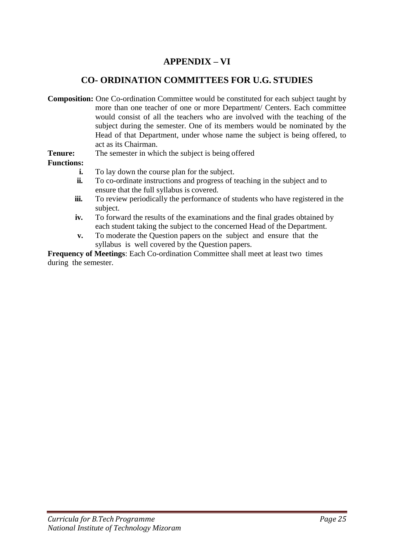## **APPENDIX – VI**

## **CO- ORDINATION COMMITTEES FOR U.G. STUDIES**

**Composition:** One Co-ordination Committee would be constituted for each subject taught by more than one teacher of one or more Department/ Centers. Each committee would consist of all the teachers who are involved with the teaching of the subject during the semester. One of its members would be nominated by the Head of that Department, under whose name the subject is being offered, to act as its Chairman.

**Tenure:** The semester in which the subject is being offered

#### **Functions:**

- **i.** To lay down the course plan for the subject.
- **ii.** To co-ordinate instructions and progress of teaching in the subject and to ensure that the full syllabus is covered.
- **iii.** To review periodically the performance of students who have registered in the subject.
- **iv.** To forward the results of the examinations and the final grades obtained by each student taking the subject to the concerned Head of the Department.
- **v.** To moderate the Question papers on the subject and ensure that the syllabus is well covered by the Question papers.

**Frequency of Meetings**: Each Co-ordination Committee shall meet at least two times during the semester.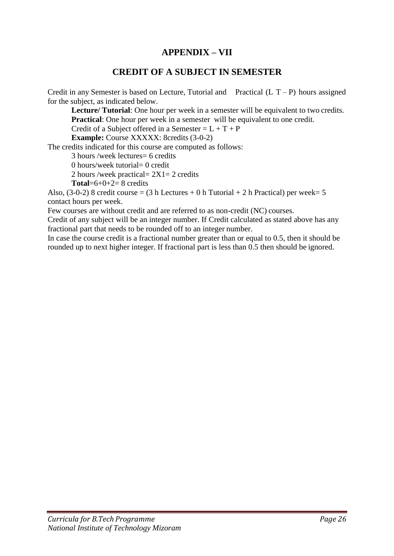## **APPENDIX – VII**

## **CREDIT OF A SUBJECT IN SEMESTER**

Credit in any Semester is based on Lecture, Tutorial and Practical  $(L T - P)$  hours assigned for the subject, as indicated below.

**Lecture/ Tutorial**: One hour per week in a semester will be equivalent to two credits. **Practical**: One hour per week in a semester will be equivalent to one credit.

Credit of a Subject offered in a Semester =  $L + T + P$ 

**Example:** Course XXXXX: 8credits (3-0-2)

The credits indicated for this course are computed as follows:

3 hours /week lectures= 6 credits

0 hours/week tutorial= 0 credit

2 hours /week practical=  $2X1=2$  credits

**Total**= $6+0+2=8$  credits

Also,  $(3-0-2)$  8 credit course =  $(3 h$  Lectures + 0 h Tutorial + 2 h Practical) per week= 5 contact hours per week.

Few courses are without credit and are referred to as non-credit (NC) courses.

Credit of any subject will be an integer number. If Credit calculated as stated above has any fractional part that needs to be rounded off to an integer number.

In case the course credit is a fractional number greater than or equal to 0.5, then it should be rounded up to next higher integer. If fractional part is less than 0.5 then should be ignored.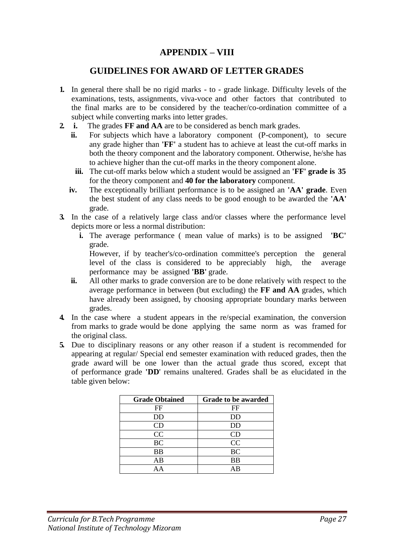## **APPENDIX – VIII**

#### **GUIDELINES FOR AWARD OF LETTER GRADES**

- **1.** In general there shall be no rigid marks to grade linkage. Difficulty levels of the examinations, tests, assignments, viva-voce and other factors that contributed to the final marks are to be considered by the teacher/co-ordination committee of a subject while converting marks into letter grades.
- **2. i.** The grades **FF and AA** are to be considered as bench mark grades.
	- **ii.** For subjects which have a laboratory component (P-component), to secure any grade higher than **'FF'** a student has to achieve at least the cut-off marks in both the theory component and the laboratory component. Otherwise, he/she has to achieve higher than the cut-off marks in the theory component alone.
		- **iii.** The cut-off marks below which a student would be assigned an **'FF' grade is 35** for the theory component and **40 for the laboratory** component.
	- **iv.** The exceptionally brilliant performance is to be assigned an **'AA' grade**. Even the best student of any class needs to be good enough to be awarded the **'AA'**  grade.
- **3.** In the case of a relatively large class and/or classes where the performance level depicts more or less a normal distribution:
	- **i.** The average performance ( mean value of marks) is to be assigned **'BC'** grade.

However, if by teacher's/co-ordination committee's perception the general level of the class is considered to be appreciably high, the average performance may be assigned **'BB'** grade.

- **ii.** All other marks to grade conversion are to be done relatively with respect to the average performance in between (but excluding) the **FF and AA** grades, which have already been assigned, by choosing appropriate boundary marks between grades.
- **4.** In the case where a student appears in the re/special examination, the conversion from marks to grade would be done applying the same norm as was framed for the original class.
- **5.** Due to disciplinary reasons or any other reason if a student is recommended for appearing at regular/ Special end semester examination with reduced grades, then the grade award will be one lower than the actual grade thus scored, except that of performance grade **'DD**' remains unaltered. Grades shall be as elucidated in the table given below:

| <b>Grade Obtained</b> | Grade to be awarded |
|-----------------------|---------------------|
| FF                    | FF                  |
| DD                    | DD                  |
| CD                    | <b>DD</b>           |
| CC                    | CD                  |
| <b>BC</b>             | CC                  |
| <b>BB</b>             | <b>BC</b>           |
| AB                    | <b>BB</b>           |
|                       | ΑR                  |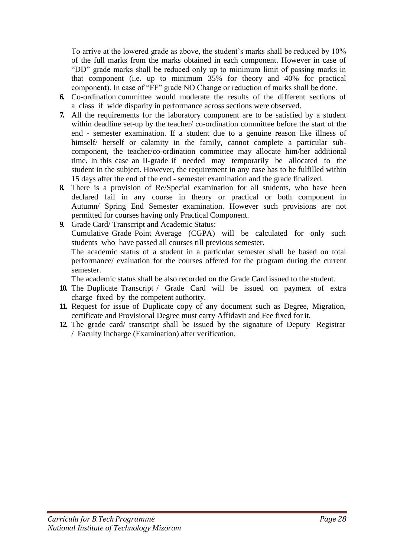To arrive at the lowered grade as above, the student's marks shall be reduced by 10% of the full marks from the marks obtained in each component. However in case of "DD" grade marks shall be reduced only up to minimum limit of passing marks in that component (i.e. up to minimum 35% for theory and 40% for practical component). In case of "FF" grade NO Change or reduction of marks shall be done.

- **6.** Co-ordination committee would moderate the results of the different sections of a class if wide disparity in performance across sections were observed.
- **7.** All the requirements for the laboratory component are to be satisfied by a student within deadline set-up by the teacher/ co-ordination committee before the start of the end - semester examination. If a student due to a genuine reason like illness of himself/ herself or calamity in the family, cannot complete a particular subcomponent, the teacher/co-ordination committee may allocate him/her additional time. In this case an II-grade if needed may temporarily be allocated to the student in the subject. However, the requirement in any case has to be fulfilled within 15 days after the end of the end - semester examination and the grade finalized.
- **8.** There is a provision of Re/Special examination for all students, who have been declared fail in any course in theory or practical or both component in Autumn/ Spring End Semester examination. However such provisions are not permitted for courses having only Practical Component.
- **9.** Grade Card/ Transcript and Academic Status: Cumulative Grade Point Average (CGPA) will be calculated for only such students who have passed all courses till previous semester. The academic status of a student in a particular semester shall be based on total performance/ evaluation for the courses offered for the program during the current semester.

The academic status shall be also recorded on the Grade Card issued to the student.

- **10.** The Duplicate Transcript / Grade Card will be issued on payment of extra charge fixed by the competent authority.
- **11.** Request for issue of Duplicate copy of any document such as Degree, Migration, certificate and Provisional Degree must carry Affidavit and Fee fixed for it.
- **12.** The grade card/ transcript shall be issued by the signature of Deputy Registrar / Faculty Incharge (Examination) after verification.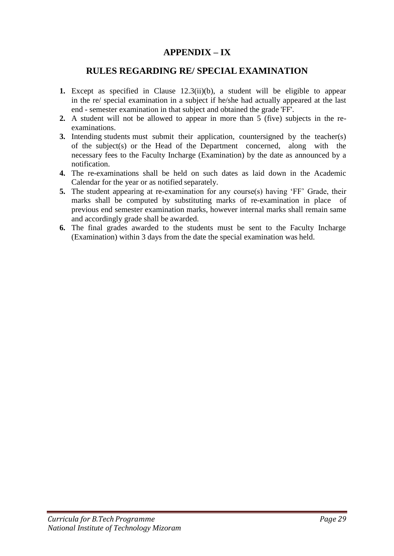## **APPENDIX – IX**

#### **RULES REGARDING RE/ SPECIAL EXAMINATION**

- **1.** Except as specified in Clause 12.3(ii)(b), a student will be eligible to appear in the re/ special examination in a subject if he/she had actually appeared at the last end - semester examination in that subject and obtained the grade 'FF'.
- **2.** A student will not be allowed to appear in more than 5 (five) subjects in the reexaminations.
- **3.** Intending students must submit their application, countersigned by the teacher(s) of the subject(s) or the Head of the Department concerned, along with the necessary fees to the Faculty Incharge (Examination) by the date as announced by a notification.
- **4.** The re-examinations shall be held on such dates as laid down in the Academic Calendar for the year or as notified separately.
- **5.** The student appearing at re-examination for any course(s) having 'FF' Grade, their marks shall be computed by substituting marks of re-examination in place of previous end semester examination marks, however internal marks shall remain same and accordingly grade shall be awarded.
- **6.** The final grades awarded to the students must be sent to the Faculty Incharge (Examination) within 3 days from the date the special examination was held.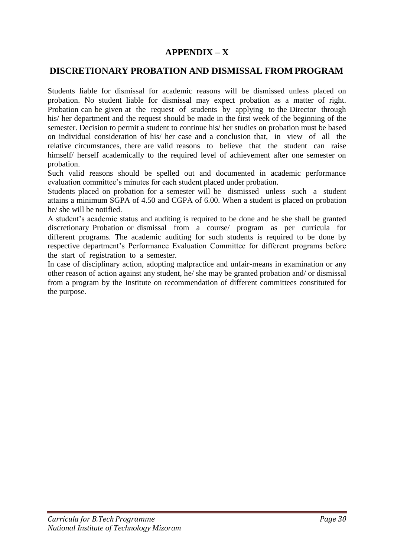### **APPENDIX – X**

#### **DISCRETIONARY PROBATION AND DISMISSAL FROM PROGRAM**

Students liable for dismissal for academic reasons will be dismissed unless placed on probation. No student liable for dismissal may expect probation as a matter of right. Probation can be given at the request of students by applying to the Director through his/ her department and the request should be made in the first week of the beginning of the semester. Decision to permit a student to continue his/ her studies on probation must be based on individual consideration of his/ her case and a conclusion that, in view of all the relative circumstances, there are valid reasons to believe that the student can raise himself/ herself academically to the required level of achievement after one semester on probation.

Such valid reasons should be spelled out and documented in academic performance evaluation committee's minutes for each student placed under probation.

Students placed on probation for a semester will be dismissed unless such a student attains a minimum SGPA of 4.50 and CGPA of 6.00. When a student is placed on probation he/ she will be notified.

A student's academic status and auditing is required to be done and he she shall be granted discretionary Probation or dismissal from a course/ program as per curricula for different programs. The academic auditing for such students is required to be done by respective department's Performance Evaluation Committee for different programs before the start of registration to a semester.

In case of disciplinary action, adopting malpractice and unfair-means in examination or any other reason of action against any student, he/ she may be granted probation and/ or dismissal from a program by the Institute on recommendation of different committees constituted for the purpose.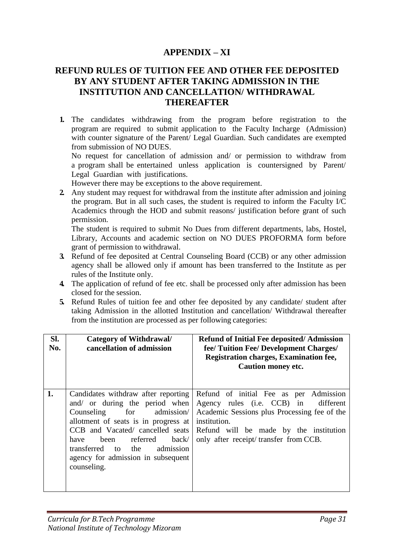### **APPENDIX – XI**

## **REFUND RULES OF TUITION FEE AND OTHER FEE DEPOSITED BY ANY STUDENT AFTER TAKING ADMISSION IN THE INSTITUTION AND CANCELLATION/ WITHDRAWAL THEREAFTER**

**1.** The candidates withdrawing from the program before registration to the program are required to submit application to the Faculty Incharge (Admission) with counter signature of the Parent/ Legal Guardian. Such candidates are exempted from submission of NO DUES.

No request for cancellation of admission and/ or permission to withdraw from a program shall be entertained unless application is countersigned by Parent/ Legal Guardian with justifications.

However there may be exceptions to the above requirement.

**2.** Any student may request for withdrawal from the institute after admission and joining the program. But in all such cases, the student is required to inform the Faculty I/C Academics through the HOD and submit reasons/ justification before grant of such permission.

The student is required to submit No Dues from different departments, labs, Hostel, Library, Accounts and academic section on NO DUES PROFORMA form before grant of permission to withdrawal.

- **3.** Refund of fee deposited at Central Counseling Board (CCB) or any other admission agency shall be allowed only if amount has been transferred to the Institute as per rules of the Institute only.
- **4.** The application of refund of fee etc. shall be processed only after admission has been closed for the session.
- **5.** Refund Rules of tuition fee and other fee deposited by any candidate/ student after taking Admission in the allotted Institution and cancellation/ Withdrawal thereafter from the institution are processed as per following categories:

| SI.<br>No. | <b>Category of Withdrawal/</b><br>cancellation of admission                                                                                                                                                                                                                                             | <b>Refund of Initial Fee deposited/Admission</b><br>fee/ Tuition Fee/ Development Charges/<br><b>Registration charges, Examination fee,</b><br><b>Caution money etc.</b>                                                             |
|------------|---------------------------------------------------------------------------------------------------------------------------------------------------------------------------------------------------------------------------------------------------------------------------------------------------------|--------------------------------------------------------------------------------------------------------------------------------------------------------------------------------------------------------------------------------------|
| 1.         | Candidates withdraw after reporting<br>and/ or during the period when<br>Counseling for admission<br>allotment of seats is in progress at<br>CCB and Vacated/ cancelled seats<br>been referred back/<br>have<br>admission<br>transferred to<br>the<br>agency for admission in subsequent<br>counseling. | Refund of initial Fee as per Admission<br>Agency rules (i.e. CCB) in<br>different<br>Academic Sessions plus Processing fee of the<br>institution.<br>Refund will be made by the institution<br>only after receipt/transfer from CCB. |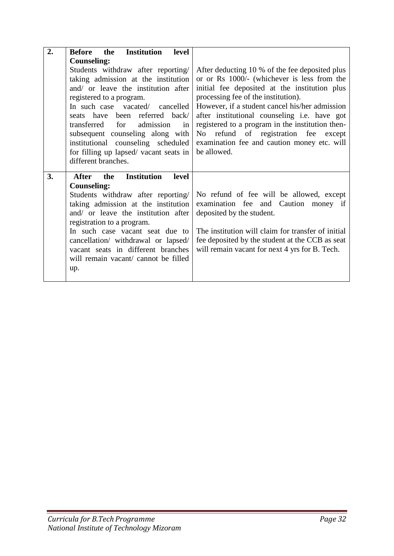| 2. | <b>Institution</b><br>Before<br>the<br>level |                                                    |
|----|----------------------------------------------|----------------------------------------------------|
|    | <b>Counseling:</b>                           |                                                    |
|    | Students withdraw after reporting/           | After deducting 10 % of the fee deposited plus     |
|    | taking admission at the institution          | or or Rs 1000/- (whichever is less from the        |
|    | and/ or leave the institution after          | initial fee deposited at the institution plus      |
|    | registered to a program.                     | processing fee of the institution).                |
|    | In such case vacated/ cancelled              | However, if a student cancel his/her admission     |
|    | seats have been referred back/               | after institutional counseling i.e. have got       |
|    | transferred<br>admission<br>for<br>in        | registered to a program in the institution then-   |
|    | subsequent counseling along with             | refund of registration fee except<br>No            |
|    | institutional counseling scheduled           | examination fee and caution money etc. will        |
|    | for filling up lapsed/ vacant seats in       | be allowed.                                        |
|    | different branches.                          |                                                    |
|    |                                              |                                                    |
| 3. | <b>Institution</b><br>level<br>After<br>the  |                                                    |
|    | <b>Counseling:</b>                           |                                                    |
|    | Students withdraw after reporting/           | No refund of fee will be allowed, except           |
|    | taking admission at the institution          | examination fee and Caution money if               |
|    | and/ or leave the institution after          | deposited by the student.                          |
|    | registration to a program.                   |                                                    |
|    | In such case vacant seat due to              | The institution will claim for transfer of initial |
|    | cancellation/ withdrawal or lapsed/          | fee deposited by the student at the CCB as seat    |
|    | vacant seats in different branches           | will remain vacant for next 4 yrs for B. Tech.     |
|    | will remain vacant/ cannot be filled         |                                                    |
|    | up.                                          |                                                    |
|    |                                              |                                                    |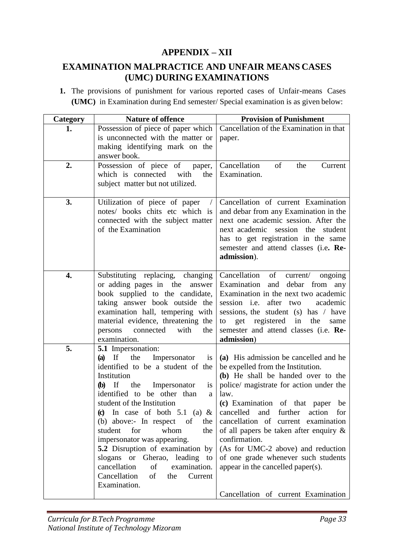## **APPENDIX – XII**

## **EXAMINATION MALPRACTICE AND UNFAIR MEANS CASES (UMC) DURING EXAMINATIONS**

**1.** The provisions of punishment for various reported cases of Unfair-means Cases **(UMC)** in Examination during End semester/ Special examination is as given below:

| Category | <b>Nature of offence</b>                                                                                                                                                                                                                                                                                                                                                                                                                                                                                                                                         | <b>Provision of Punishment</b>                                                                                                                                                                                                                                                                                                                                                                                                                                                                                     |
|----------|------------------------------------------------------------------------------------------------------------------------------------------------------------------------------------------------------------------------------------------------------------------------------------------------------------------------------------------------------------------------------------------------------------------------------------------------------------------------------------------------------------------------------------------------------------------|--------------------------------------------------------------------------------------------------------------------------------------------------------------------------------------------------------------------------------------------------------------------------------------------------------------------------------------------------------------------------------------------------------------------------------------------------------------------------------------------------------------------|
| 1.       | Possession of piece of paper which<br>is unconnected with the matter or<br>making identifying mark on the<br>answer book.                                                                                                                                                                                                                                                                                                                                                                                                                                        | Cancellation of the Examination in that<br>paper.                                                                                                                                                                                                                                                                                                                                                                                                                                                                  |
| 2.       | Possession of piece of<br>paper,<br>which is connected<br>with<br>the<br>subject matter but not utilized.                                                                                                                                                                                                                                                                                                                                                                                                                                                        | Cancellation<br>of<br>the<br>Current<br>Examination.                                                                                                                                                                                                                                                                                                                                                                                                                                                               |
| 3.       | Utilization of piece of paper<br>notes/ books chits etc which is<br>connected with the subject matter<br>of the Examination                                                                                                                                                                                                                                                                                                                                                                                                                                      | Cancellation of current Examination<br>and debar from any Examination in the<br>next one academic session. After the<br>next academic session the student<br>has to get registration in the same<br>semester and attend classes (i.e. Re-<br>admission).                                                                                                                                                                                                                                                           |
| 4.       | Substituting replacing, changing<br>or adding pages in the<br>answer<br>book supplied to the candidate,<br>taking answer book outside the<br>examination hall, tempering with<br>material evidence, threatening the<br>with<br>the<br>connected<br>persons<br>examination.                                                                                                                                                                                                                                                                                       | Cancellation of<br>current/<br>ongoing<br>Examination<br>and<br>debar<br>from any<br>Examination in the next two academic<br>after two<br>session <i>i.e.</i><br>academic<br>sessions, the student (s) has / have<br>get registered in<br>the<br>to<br>same<br>semester and attend classes (i.e. Re-<br>admission)                                                                                                                                                                                                 |
| 5.       | 5.1 Impersonation:<br>$(a)$ If<br>the<br>Impersonator<br>is<br>identified to be a student of the<br>Institution<br>$(b)$ If<br>the<br>Impersonator<br>$\overline{1}S$<br>identified to be other than<br>a<br>student of the Institution<br>In case of both 5.1 (a) $&$<br>$\bf (c)$<br>(b) above:- In respect<br>the<br>of<br>whom<br>student<br>for<br>the<br>impersonator was appearing.<br>5.2 Disruption of examination by<br>slogans or<br>Gherao, leading to<br>cancellation<br>examination.<br>of<br>Cancellation<br>of<br>the<br>Current<br>Examination. | (a) His admission be cancelled and he<br>be expelled from the Institution.<br>(b) He shall be handed over to the<br>police/ magistrate for action under the<br>law.<br>(c) Examination of that paper be<br>and further<br>cancelled<br>action<br>for<br>cancellation of current examination<br>of all papers be taken after enquiry $\&$<br>confirmation.<br>(As for UMC-2 above) and reduction<br>of one grade whenever such students<br>appear in the cancelled paper(s).<br>Cancellation of current Examination |